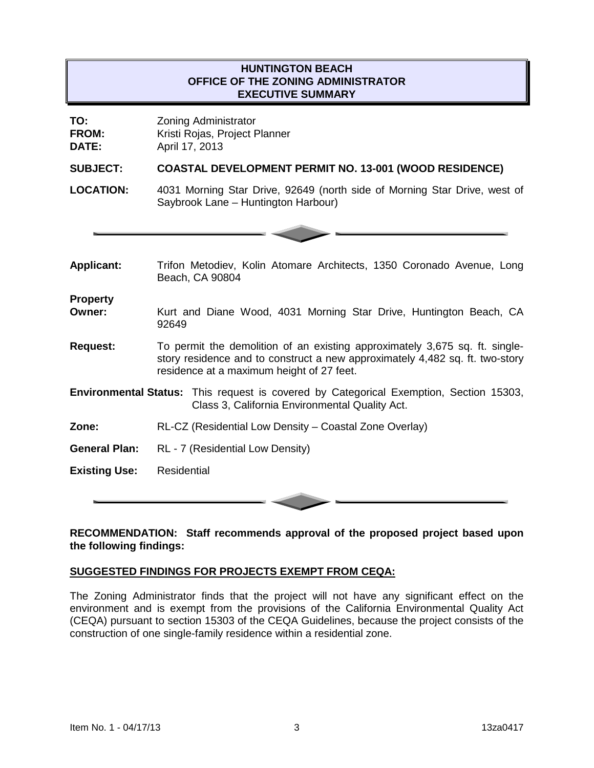## **HUNTINGTON BEACH OFFICE OF THE ZONING ADMINISTRATOR EXECUTIVE SUMMARY**

| TO:<br><b>FROM:</b><br>DATE: | <b>Zoning Administrator</b><br>Kristi Rojas, Project Planner<br>April 17, 2013                                                                                                                           |
|------------------------------|----------------------------------------------------------------------------------------------------------------------------------------------------------------------------------------------------------|
| <b>SUBJECT:</b>              | <b>COASTAL DEVELOPMENT PERMIT NO. 13-001 (WOOD RESIDENCE)</b>                                                                                                                                            |
| <b>LOCATION:</b>             | 4031 Morning Star Drive, 92649 (north side of Morning Star Drive, west of<br>Saybrook Lane - Huntington Harbour)                                                                                         |
|                              |                                                                                                                                                                                                          |
| <b>Applicant:</b>            | Trifon Metodiev, Kolin Atomare Architects, 1350 Coronado Avenue, Long<br>Beach, CA 90804                                                                                                                 |
| <b>Property</b><br>Owner:    | Kurt and Diane Wood, 4031 Morning Star Drive, Huntington Beach, CA<br>92649                                                                                                                              |
| <b>Request:</b>              | To permit the demolition of an existing approximately 3,675 sq. ft. single-<br>story residence and to construct a new approximately 4,482 sq. ft. two-story<br>residence at a maximum height of 27 feet. |
|                              | <b>Environmental Status:</b> This request is covered by Categorical Exemption, Section 15303,<br>Class 3, California Environmental Quality Act.                                                          |
| Zone:                        | RL-CZ (Residential Low Density - Coastal Zone Overlay)                                                                                                                                                   |
| <b>General Plan:</b>         | RL - 7 (Residential Low Density)                                                                                                                                                                         |
| <b>Existing Use:</b>         | <b>Residential</b>                                                                                                                                                                                       |

**RECOMMENDATION: Staff recommends approval of the proposed project based upon the following findings:**

## **SUGGESTED FINDINGS FOR PROJECTS EXEMPT FROM CEQA:**

The Zoning Administrator finds that the project will not have any significant effect on the environment and is exempt from the provisions of the California Environmental Quality Act (CEQA) pursuant to section 15303 of the CEQA Guidelines, because the project consists of the construction of one single-family residence within a residential zone.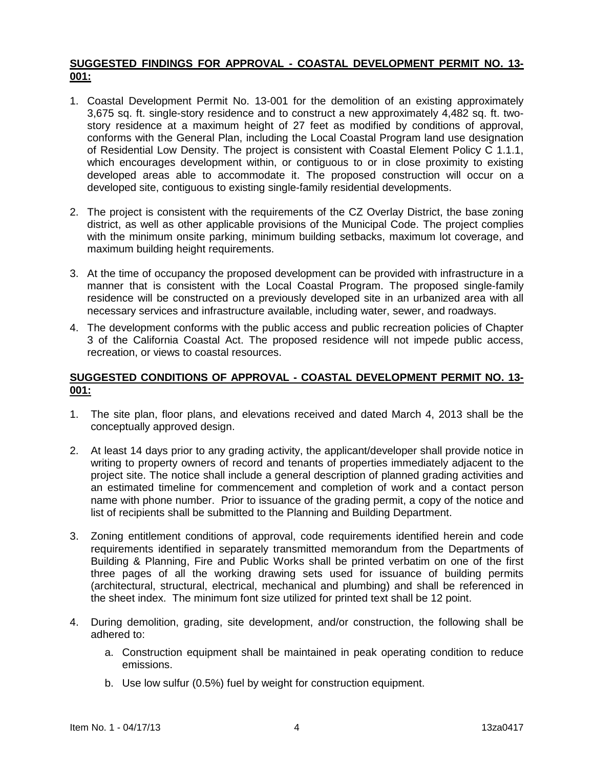## **SUGGESTED FINDINGS FOR APPROVAL - COASTAL DEVELOPMENT PERMIT NO. 13- 001:**

- 1. Coastal Development Permit No. 13-001 for the demolition of an existing approximately 3,675 sq. ft. single-story residence and to construct a new approximately 4,482 sq. ft. twostory residence at a maximum height of 27 feet as modified by conditions of approval, conforms with the General Plan, including the Local Coastal Program land use designation of Residential Low Density. The project is consistent with Coastal Element Policy C 1.1.1, which encourages development within, or contiguous to or in close proximity to existing developed areas able to accommodate it. The proposed construction will occur on a developed site, contiguous to existing single-family residential developments.
- 2. The project is consistent with the requirements of the CZ Overlay District, the base zoning district, as well as other applicable provisions of the Municipal Code. The project complies with the minimum onsite parking, minimum building setbacks, maximum lot coverage, and maximum building height requirements.
- 3. At the time of occupancy the proposed development can be provided with infrastructure in a manner that is consistent with the Local Coastal Program. The proposed single-family residence will be constructed on a previously developed site in an urbanized area with all necessary services and infrastructure available, including water, sewer, and roadways.
- 4. The development conforms with the public access and public recreation policies of Chapter 3 of the California Coastal Act. The proposed residence will not impede public access, recreation, or views to coastal resources.

# **SUGGESTED CONDITIONS OF APPROVAL - COASTAL DEVELOPMENT PERMIT NO. 13- 001:**

- 1. The site plan, floor plans, and elevations received and dated March 4, 2013 shall be the conceptually approved design.
- 2. At least 14 days prior to any grading activity, the applicant/developer shall provide notice in writing to property owners of record and tenants of properties immediately adjacent to the project site. The notice shall include a general description of planned grading activities and an estimated timeline for commencement and completion of work and a contact person name with phone number. Prior to issuance of the grading permit, a copy of the notice and list of recipients shall be submitted to the Planning and Building Department.
- 3. Zoning entitlement conditions of approval, code requirements identified herein and code requirements identified in separately transmitted memorandum from the Departments of Building & Planning, Fire and Public Works shall be printed verbatim on one of the first three pages of all the working drawing sets used for issuance of building permits (architectural, structural, electrical, mechanical and plumbing) and shall be referenced in the sheet index. The minimum font size utilized for printed text shall be 12 point.
- 4. During demolition, grading, site development, and/or construction, the following shall be adhered to:
	- a. Construction equipment shall be maintained in peak operating condition to reduce emissions.
	- b. Use low sulfur (0.5%) fuel by weight for construction equipment.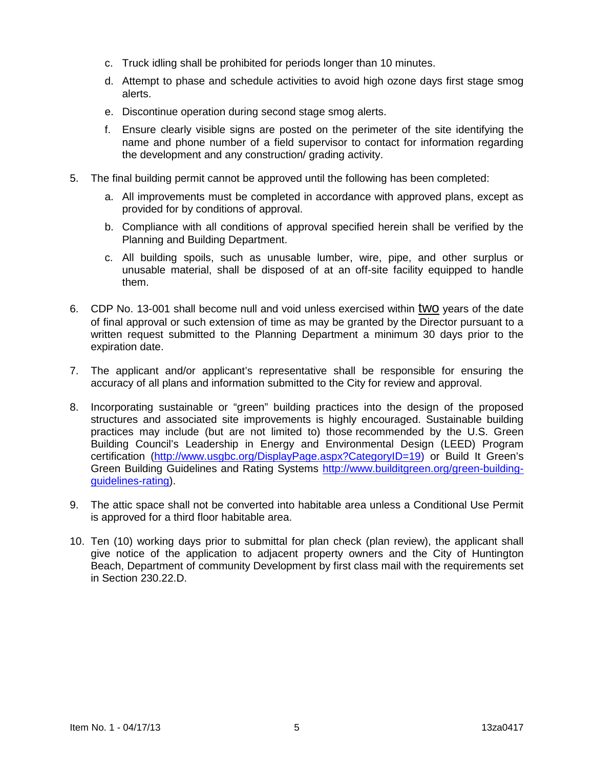- c. Truck idling shall be prohibited for periods longer than 10 minutes.
- d. Attempt to phase and schedule activities to avoid high ozone days first stage smog alerts.
- e. Discontinue operation during second stage smog alerts.
- f. Ensure clearly visible signs are posted on the perimeter of the site identifying the name and phone number of a field supervisor to contact for information regarding the development and any construction/ grading activity.
- 5. The final building permit cannot be approved until the following has been completed:
	- a. All improvements must be completed in accordance with approved plans, except as provided for by conditions of approval.
	- b. Compliance with all conditions of approval specified herein shall be verified by the Planning and Building Department.
	- c. All building spoils, such as unusable lumber, wire, pipe, and other surplus or unusable material, shall be disposed of at an off-site facility equipped to handle them.
- 6. CDP No. 13-001 shall become null and void unless exercised within two years of the date of final approval or such extension of time as may be granted by the Director pursuant to a written request submitted to the Planning Department a minimum 30 days prior to the expiration date.
- 7. The applicant and/or applicant's representative shall be responsible for ensuring the accuracy of all plans and information submitted to the City for review and approval.
- 8. Incorporating sustainable or "green" building practices into the design of the proposed structures and associated site improvements is highly encouraged. Sustainable building practices may include (but are not limited to) those recommended by the U.S. Green Building Council's Leadership in Energy and Environmental Design (LEED) Program certification [\(http://www.usgbc.org/DisplayPage.aspx?CategoryID=19\)](http://www.usgbc.org/DisplayPage.aspx?CategoryID=19) or Build It Green's Green Building Guidelines and Rating Systems [http://www.builditgreen.org/green-building](http://www.builditgreen.org/green-building-guidelines-rating)[guidelines-rating\)](http://www.builditgreen.org/green-building-guidelines-rating).
- 9. The attic space shall not be converted into habitable area unless a Conditional Use Permit is approved for a third floor habitable area.
- 10. Ten (10) working days prior to submittal for plan check (plan review), the applicant shall give notice of the application to adjacent property owners and the City of Huntington Beach, Department of community Development by first class mail with the requirements set in Section 230.22.D.